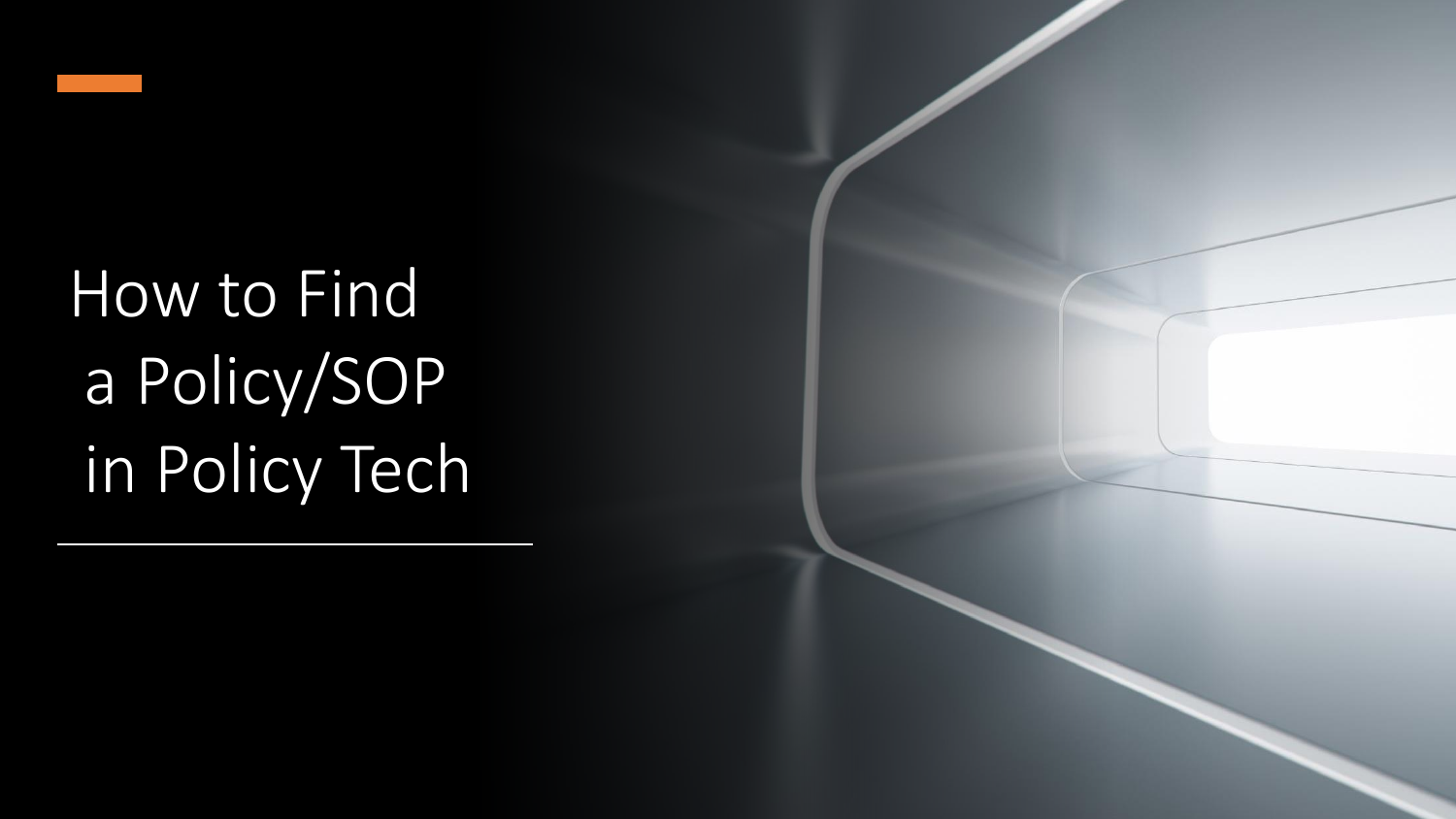

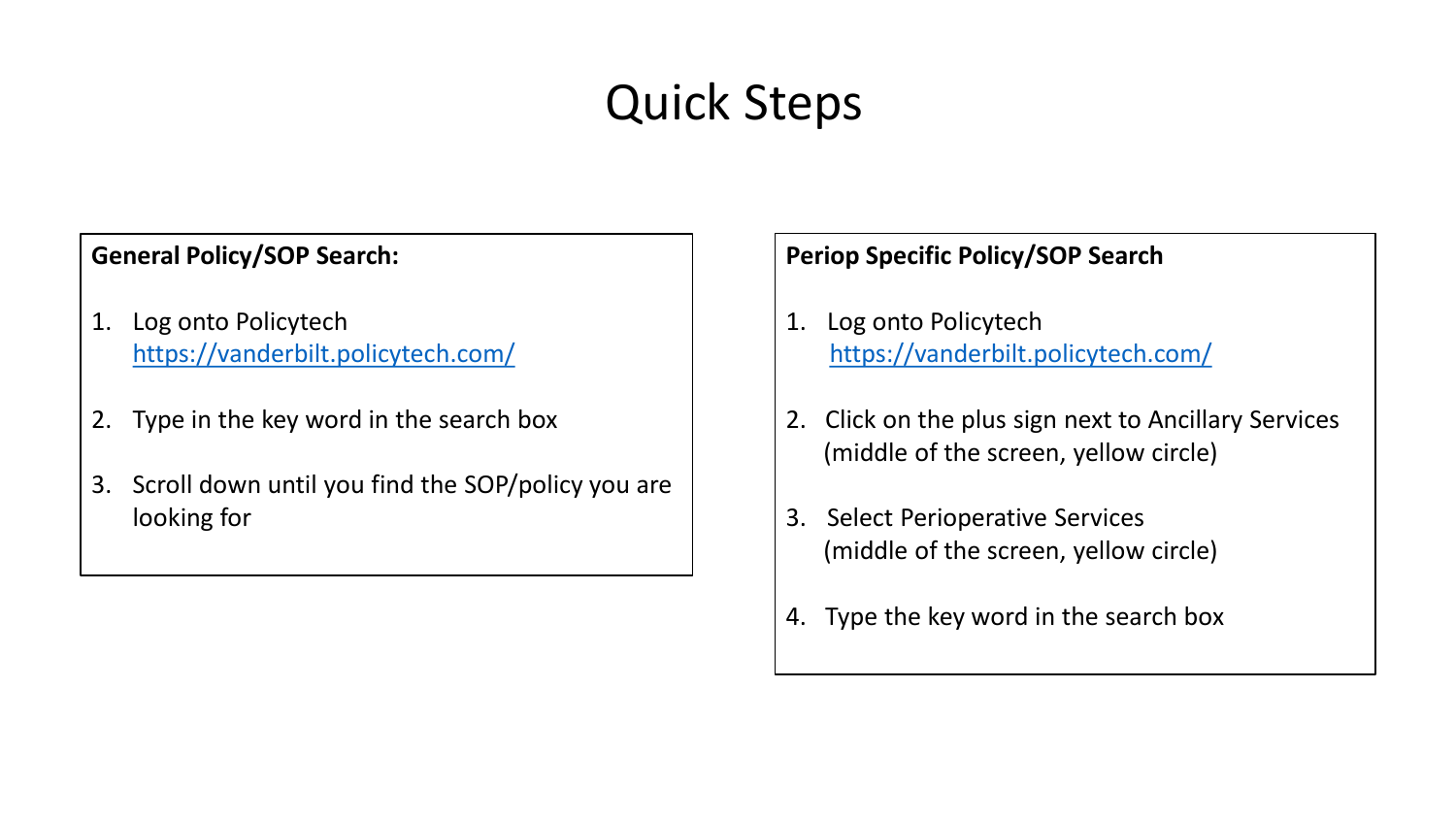# Quick Steps

#### **General Policy/SOP Search:**

- 1. Log onto Policytech <https://vanderbilt.policytech.com/>
- 2. Type in the key word in the search box
- 3. Scroll down until you find the SOP/policy you are looking for

- 1. Log onto Policytech <https://vanderbilt.policytech.com/>
- 2. Click on the plus sign next to Ancillary Services (middle of the screen, yellow circle)
- 3. Select Perioperative Services (middle of the screen, yellow circle)
- 4. Type the key word in the search box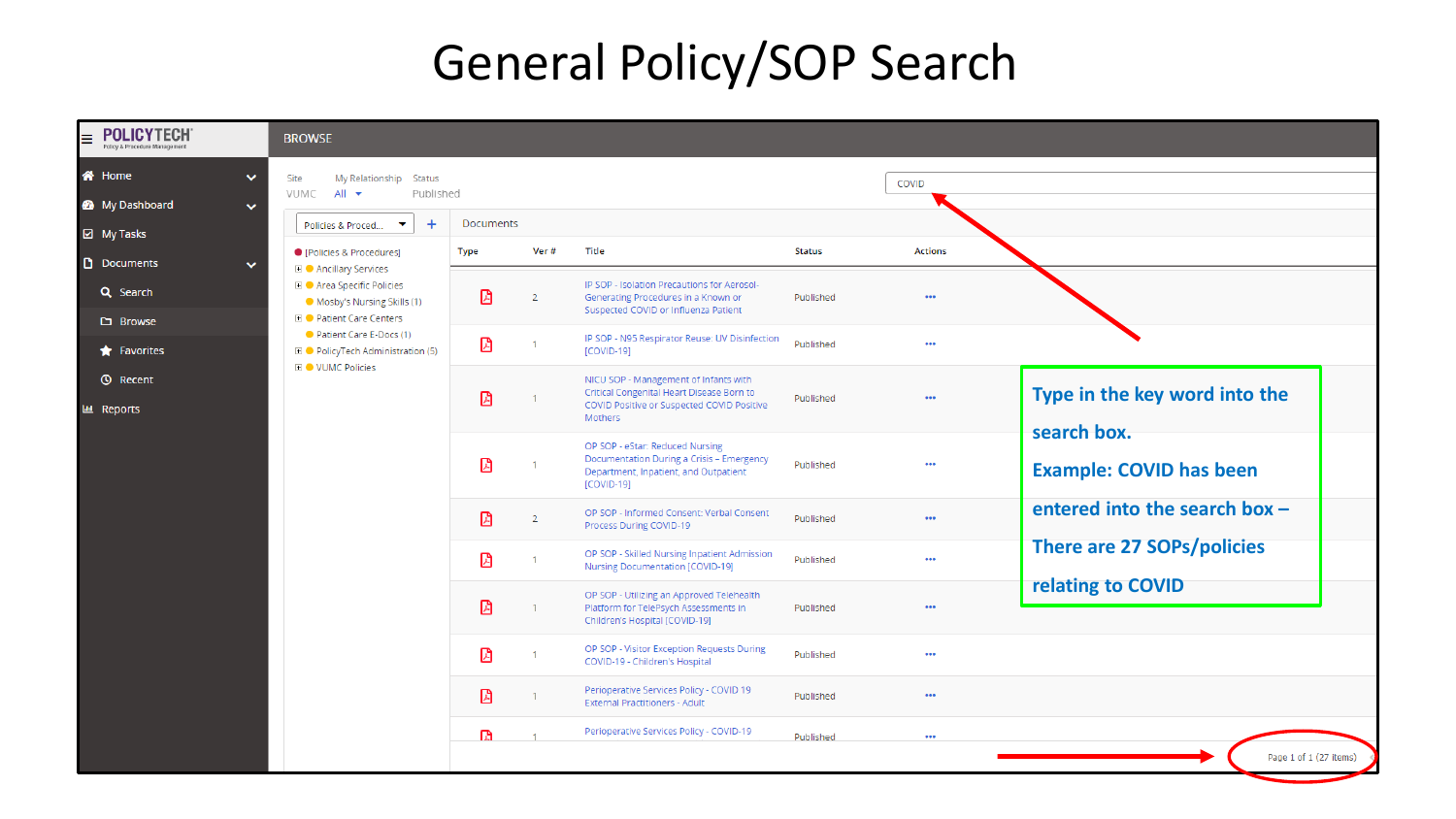## General Policy/SOP Search

| <b>POLICYTECH</b><br>Policy & Procedure Management | <b>BROWSE</b>                                                                                          |             |                |                                                                                                                                             |               |                         |                                               |
|----------------------------------------------------|--------------------------------------------------------------------------------------------------------|-------------|----------------|---------------------------------------------------------------------------------------------------------------------------------------------|---------------|-------------------------|-----------------------------------------------|
| <b>谷</b> Home<br>$\checkmark$<br>My Dashboard      | My Relationship Status<br>Site<br>VUMC<br>$All -$<br>Published                                         |             |                |                                                                                                                                             |               | COVID                   |                                               |
| $\checkmark$<br>☑ My Tasks                         | $\ddot{}$<br>Policies & Proced                                                                         | Documents   |                |                                                                                                                                             |               |                         |                                               |
| <b>D</b> Documents<br>$\checkmark$                 | ● [Policies & Procedures]<br><b>El ● Ancillary Services</b>                                            | <b>Type</b> | Ver#           | Title                                                                                                                                       | <b>Status</b> | <b>Actions</b>          |                                               |
| Q Search                                           | <b>El ● Area Specific Policies</b><br>• Mosby's Nursing Skills (1)<br><b>El ● Patient Care Centers</b> | 囵           | $\overline{2}$ | IP SOP - Isolation Precautions for Aerosol-<br>Generating Procedures in a Known or<br>Suspected COVID or Influenza Patient                  | Published     | $\bullet\bullet\bullet$ |                                               |
| <b>D</b> Browse<br>$\bigstar$ Favorites            | Patient Care E-Docs (1)<br><b>El ● PolicyTech Administration (5)</b>                                   | ⊠           |                | IP SOP - N95 Respirator Reuse: UV Disinfection<br>$[COVID-19]$                                                                              | Published     | $\bullet\bullet\bullet$ |                                               |
| <b>①</b> Recent<br><b>LLL Reports</b>              | <b>EI ● VUMC Policies</b>                                                                              | ₿           |                | NICU SOP - Management of Infants with<br>Critical Congenital Heart Disease Born to<br>COVID Positive or Suspected COVID Positive<br>Mothers | Published     | $\bullet\bullet\bullet$ | Type in the key word into the                 |
|                                                    |                                                                                                        | 図           |                | OP SOP - eStar: Reduced Nursing<br>Documentation During a Crisis - Emergency<br>Department, Inpatient, and Outpatient<br>[COVID-19]         | Published     | 000                     | search box.<br><b>Example: COVID has been</b> |
|                                                    |                                                                                                        | ₿           | $\overline{2}$ | OP SOP - Informed Consent: Verbal Consent<br>Process During COVID-19                                                                        | Published     | $\bullet\bullet\bullet$ | entered into the search box -                 |
|                                                    |                                                                                                        | 図           | $\mathbf{1}$   | OP SOP - Skilled Nursing Inpatient Admission<br>Nursing Documentation [COVID-19]                                                            | Published     | 000                     | <b>There are 27 SOPs/policies</b>             |
|                                                    |                                                                                                        | ₫           |                | OP SOP - Utilizing an Approved Telehealth<br>Platform for TelePsych Assessments in<br>Children's Hospital [COVID-19]                        | Published     | $\bullet\bullet\bullet$ | relating to COVID                             |
|                                                    |                                                                                                        | 因           |                | OP SOP - Visitor Exception Requests During<br>COVID-19 - Children's Hospital                                                                | Published     | $\bullet\bullet\bullet$ |                                               |
|                                                    |                                                                                                        | ₽           |                | Perioperative Services Policy - COVID 19<br><b>External Practitioners - Adult</b>                                                           | Published     | $\bullet\bullet\bullet$ |                                               |
|                                                    |                                                                                                        | m.          |                | Perioperative Services Policy - COVID-19                                                                                                    | Published     | $\bullet\bullet\bullet$ |                                               |
|                                                    |                                                                                                        |             |                |                                                                                                                                             |               |                         | Page 1 of 1 (27 items)                        |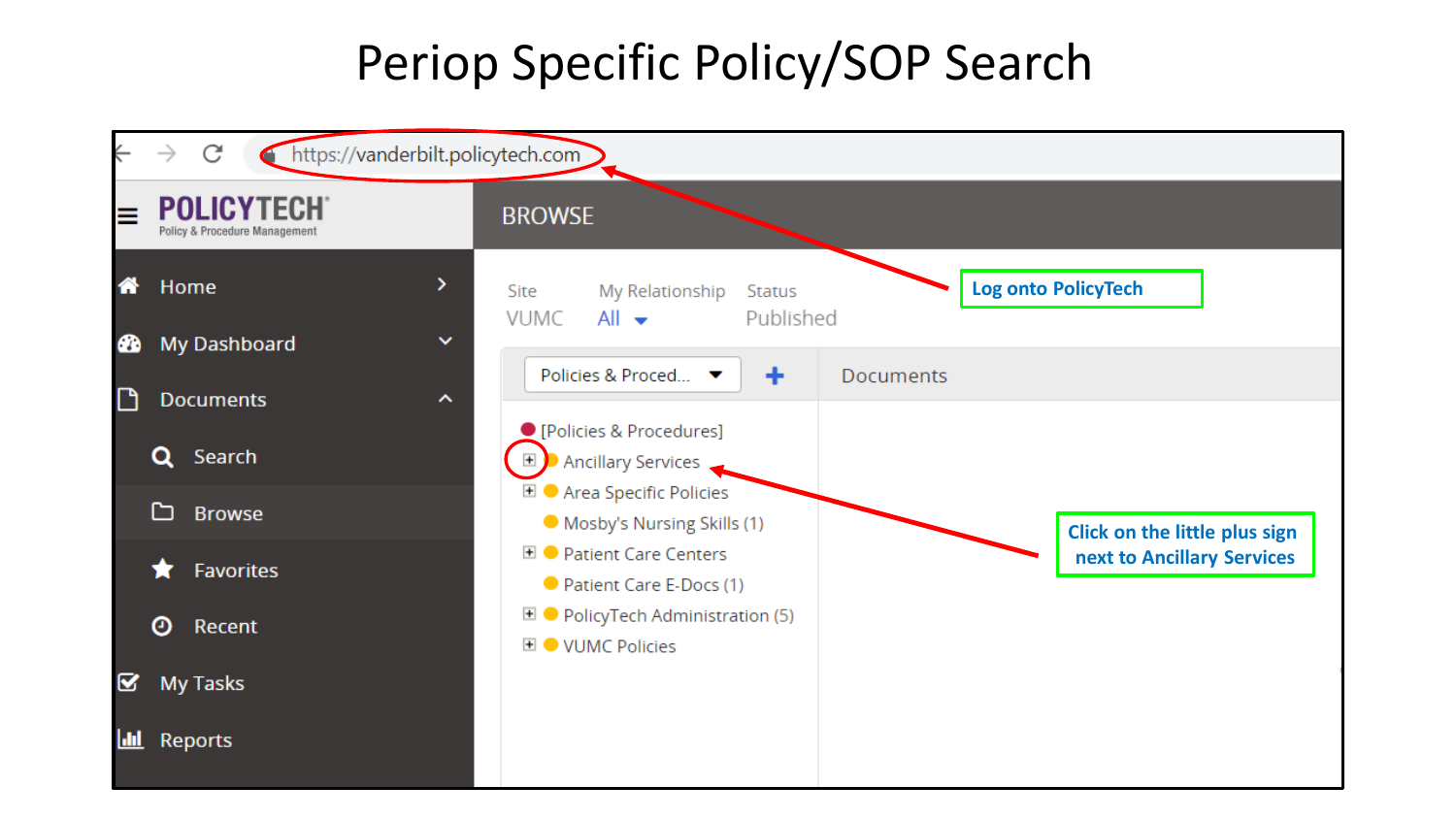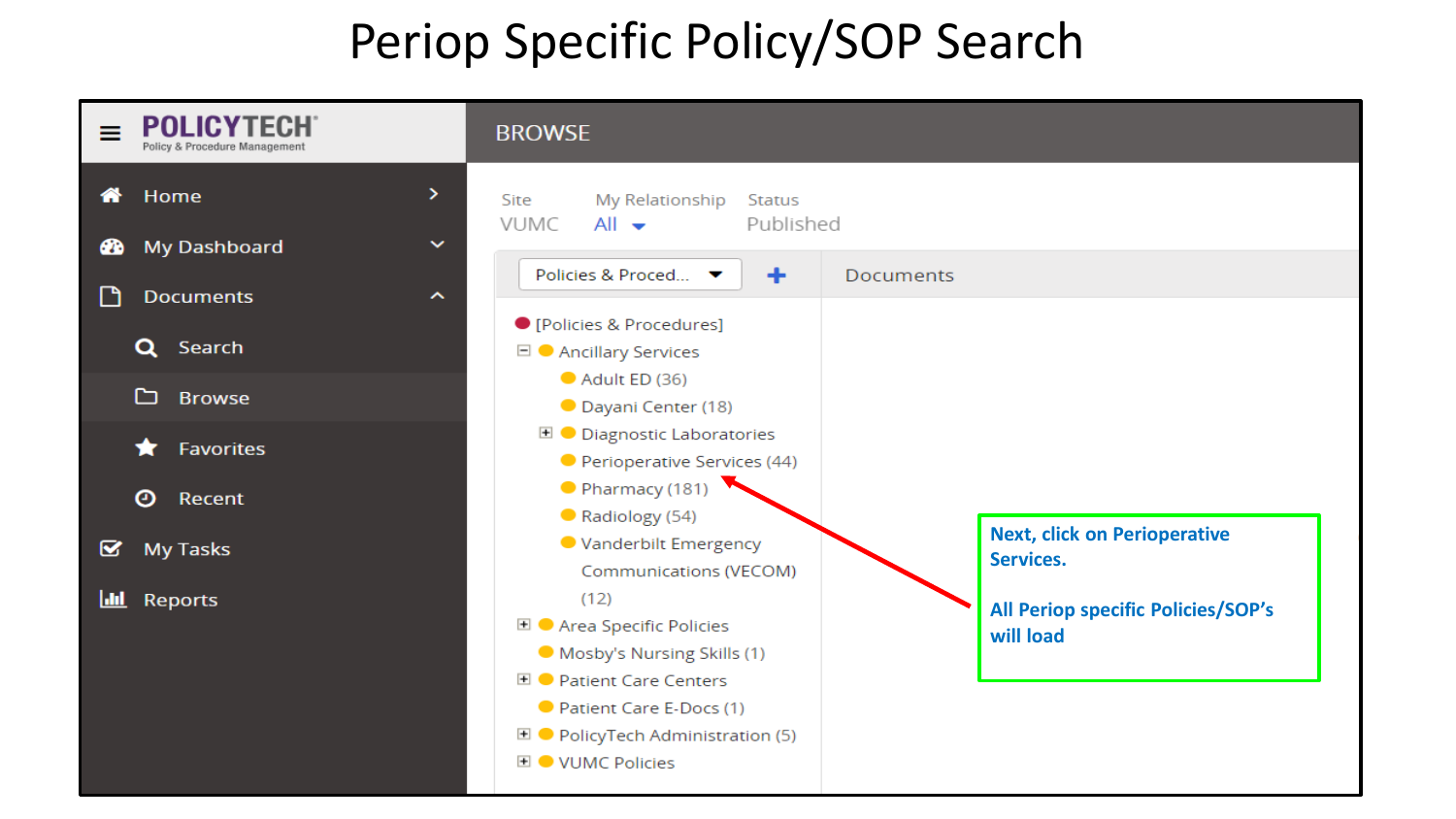| <b>POLICYTEC</b><br>=<br>Policy & Procedure Managemen     | <b>BROWSE</b>                                                                                                                           |                                                        |
|-----------------------------------------------------------|-----------------------------------------------------------------------------------------------------------------------------------------|--------------------------------------------------------|
| ≻<br>Home<br>俗                                            | My Relationship<br>Site<br>Status<br>Published<br><b>VUMC</b><br>$All -$                                                                |                                                        |
| My Dashboard<br>$\checkmark$<br>ക                         | Policies & Proced ▼<br>٠                                                                                                                | <b>Documents</b>                                       |
| Г٩<br><b>Documents</b><br>$\hat{\phantom{a}}$<br>Q Search | ● [Policies & Procedures]                                                                                                               |                                                        |
| ▭<br><b>Browse</b>                                        | $\Box$ Ancillary Services<br>Adult ED (36)                                                                                              |                                                        |
| <b>Favorites</b>                                          | <b>O</b> Dayani Center (18)<br><b>E</b> ● Diagnostic Laboratories<br>Perioperative Services (44)                                        |                                                        |
| ◉<br>Recent                                               | Pharmacy (181)<br>Radiology (54)                                                                                                        |                                                        |
| <b>My Tasks</b><br>◙                                      | ● Vanderbilt Emergency<br>Communications (VECOM)                                                                                        | <b>Next, click on Perioperative</b><br>Services.       |
| Reports<br><u> uu </u>                                    | (12)<br><b>El ●</b> Area Specific Policies<br>Mosby's Nursing Skills (1)<br><b>El ● Patient Care Centers</b><br>Patient Care E-Docs (1) | <b>All Periop specific Policies/SOP's</b><br>will load |
|                                                           | $\blacksquare$ $\blacksquare$ PolicyTech Administration (5)<br><b>EI ● VUMC Policies</b>                                                |                                                        |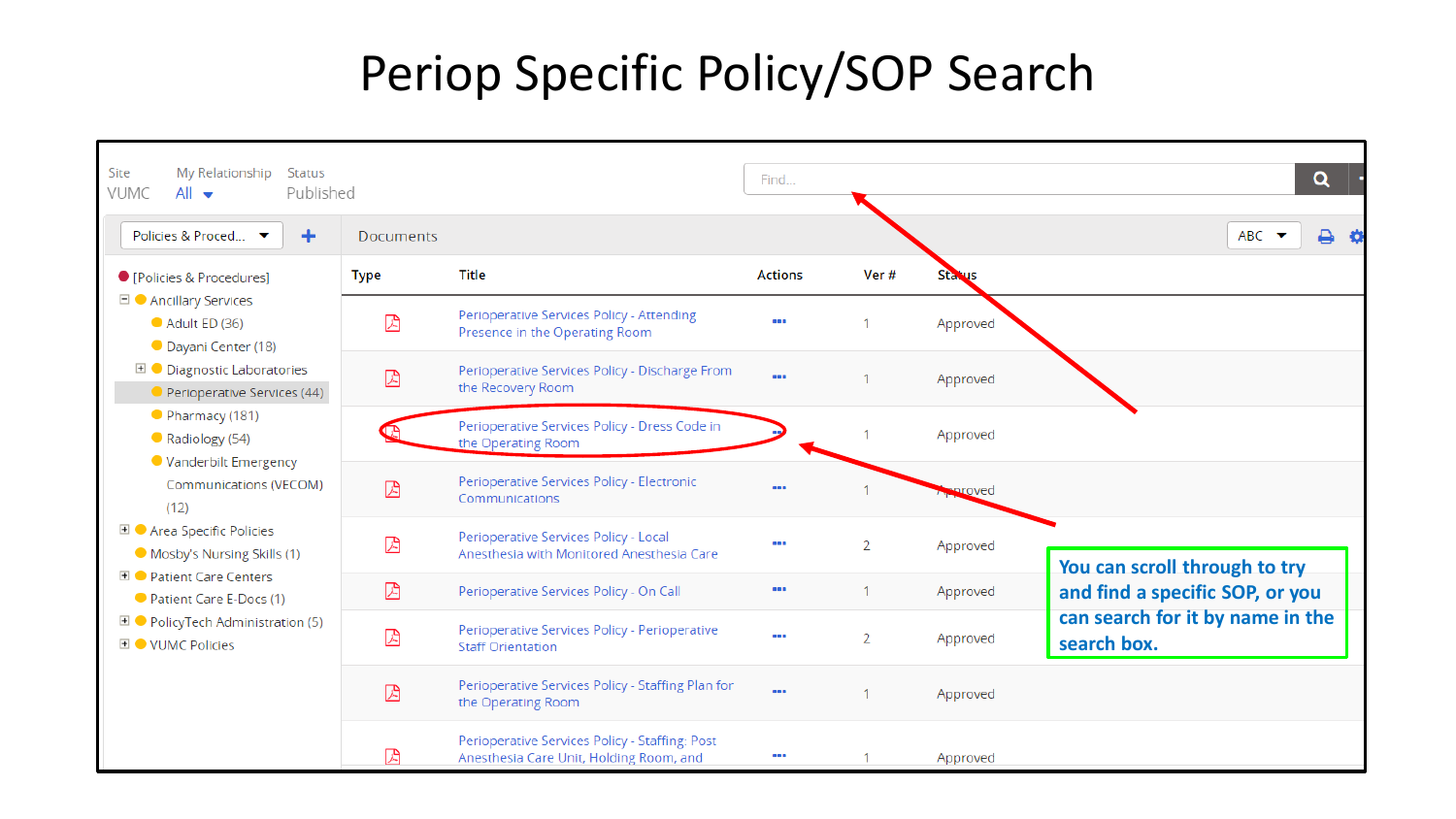| Site<br>My Relationship<br>Status<br>VUMC<br>$All -$<br>Published                                                                                                                                                                                                                                                                                                                                                                                 | Q<br>Find        |                                                                                           |                                                     |      |               |                                                 |
|---------------------------------------------------------------------------------------------------------------------------------------------------------------------------------------------------------------------------------------------------------------------------------------------------------------------------------------------------------------------------------------------------------------------------------------------------|------------------|-------------------------------------------------------------------------------------------|-----------------------------------------------------|------|---------------|-------------------------------------------------|
| Policies & Proced ▼<br>٠                                                                                                                                                                                                                                                                                                                                                                                                                          | <b>Documents</b> |                                                                                           |                                                     |      |               | ABC<br>8                                        |
| ● [Policies & Procedures]                                                                                                                                                                                                                                                                                                                                                                                                                         | Type             | <b>Title</b>                                                                              | <b>Actions</b>                                      | Ver# | <b>Status</b> |                                                 |
| $\Box$ Ancillary Services<br>Adult ED (36)<br>Dayani Center (18)<br><b>E</b> ● Diagnostic Laboratories<br>Perioperative Services (44)<br>Pharmacy (181)<br>Radiology (54)<br>● Vanderbilt Emergency<br>Communications (VECOM)<br>(12)<br><b>El ●</b> Area Specific Policies<br>Mosby's Nursing Skills (1)<br><b>E</b> ● Patient Care Centers<br>Patient Care E-Docs (1)<br><b>El ● PolicyTech Administration (5)</b><br><b>EI ● VUMC Policies</b> | 因                | Perioperative Services Policy - Attending<br>Presence in the Operating Room               |                                                     |      | Approved      |                                                 |
|                                                                                                                                                                                                                                                                                                                                                                                                                                                   | ⊠                | Perioperative Services Policy - Discharge From<br>the Recovery Room                       |                                                     |      | Approved      |                                                 |
|                                                                                                                                                                                                                                                                                                                                                                                                                                                   |                  | Perioperative Services Policy - Dress Code in<br>the Operating Room                       |                                                     |      | Approved      |                                                 |
|                                                                                                                                                                                                                                                                                                                                                                                                                                                   | ⊠                | Perioperative Services Policy - Electronic<br>Communications                              |                                                     |      | proved        |                                                 |
|                                                                                                                                                                                                                                                                                                                                                                                                                                                   | ⊠                | Perioperative Services Policy - Local<br>Anesthesia with Monitored Anesthesia Care        | $\bullet$                                           | 2    | Approved      | You can scroll through to try                   |
|                                                                                                                                                                                                                                                                                                                                                                                                                                                   | 因                | Perioperative Services Policy - On Call                                                   | $\begin{array}{c} \bullet\bullet\bullet\end{array}$ |      | Approved      | and find a specific SOP, or you                 |
|                                                                                                                                                                                                                                                                                                                                                                                                                                                   | 因                | Perioperative Services Policy - Perioperative<br><b>Staff Orientation</b>                 |                                                     | 2    | Approved      | can search for it by name in the<br>search box. |
|                                                                                                                                                                                                                                                                                                                                                                                                                                                   | 因                | Perioperative Services Policy - Staffing Plan for<br>the Operating Room                   | $\cdots$                                            |      | Approved      |                                                 |
|                                                                                                                                                                                                                                                                                                                                                                                                                                                   | 闪                | Perioperative Services Policy - Staffing: Post<br>Anesthesia Care Unit, Holding Room, and |                                                     |      | Approved      |                                                 |